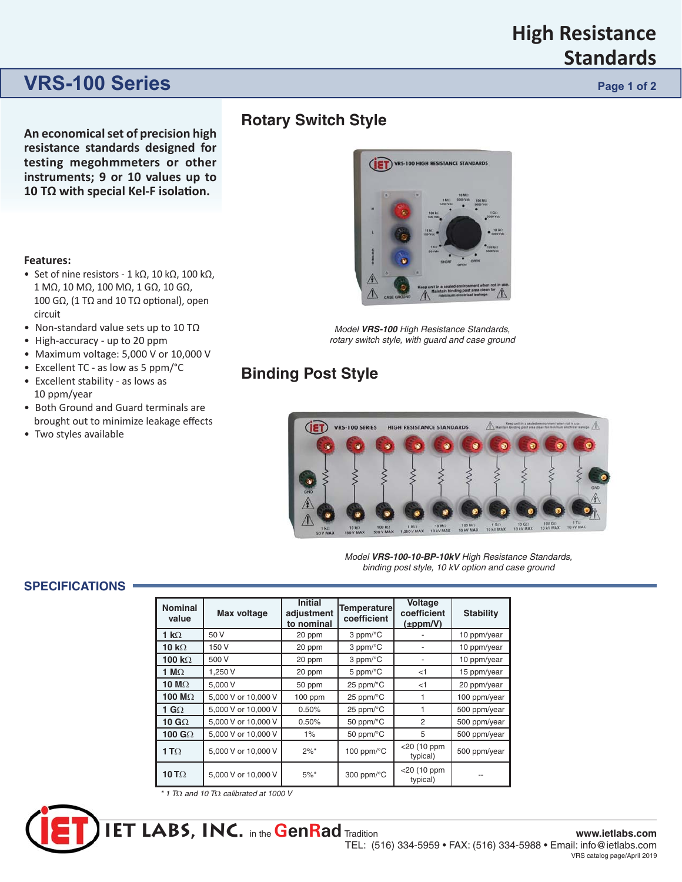## **High Resistance Standards**

## **VRS-100 Series Page 1 of 2 Page 1 of 2**

**An economical set of precision high re sis tance standards designed for testing megohmmeters or other instruments; 9 or 10 values up to 10 TΩ** with special Kel-F isolation.

#### **Features:**

- Set of nine resistors 1 kΩ, 10 kΩ, 100 kΩ, 1 MΩ, 10 MΩ, 100 MΩ, 1 GΩ, 10 GΩ, 100 GΩ, (1 TΩ and 10 TΩ optional), open circuit
- Non-standard value sets up to 10 TΩ
- High-accuracy up to 20 ppm
- Maximum voltage: 5,000 V or 10,000 V
- Excellent TC as low as 5 ppm/°C
- Excellent stability as lows as 10 ppm/year
- Both Ground and Guard terminals are brought out to minimize leakage effects
- Two styles available

### **Rotary Switch Style**



*Model VRS-100 High Resistance Stan dards, rotary switch style, with guard and case ground*

## **Binding Post Style**



*Model VRS-100-10-BP-10kV High Resistance Stan dards, binding post style, 10 kV option and case ground*

#### **SPECIFICATIONS**

| <b>Nominal</b><br>value | <b>Max voltage</b>  | <b>Initial</b><br>adjustment<br>to nominal | <b>Temperature</b><br>coefficient | <b>Voltage</b><br>coefficient<br>$(\pm$ ppm/V) | <b>Stability</b> |
|-------------------------|---------------------|--------------------------------------------|-----------------------------------|------------------------------------------------|------------------|
| 1 k $\Omega$            | 50 V                | 20 ppm                                     | $3$ ppm/ $\mathrm{^{\circ}C}$     |                                                | 10 ppm/year      |
| 10 $k\Omega$            | 150 V               | 20 ppm                                     | $3$ ppm/ $\mathrm{^{\circ}C}$     |                                                | 10 ppm/year      |
| 100 k $\Omega$          | 500 V               | 20 ppm                                     | $3$ ppm/ $\mathrm{^{\circ}C}$     |                                                | 10 ppm/year      |
| 1 M $\Omega$            | 1,250 V             | 20 ppm                                     | 5 ppm/ $\mathrm{^{\circ}C}$       | $<$ 1                                          | 15 ppm/year      |
| 10 M $\Omega$           | 5,000 V             | 50 ppm                                     | 25 ppm/°C                         | < 1                                            | 20 ppm/year      |
| 100 M $\Omega$          | 5,000 V or 10,000 V | 100 ppm                                    | 25 ppm/ $\mathrm{^{\circ}C}$      | 1                                              | 100 ppm/year     |
| 1 G $\Omega$            | 5,000 V or 10,000 V | 0.50%                                      | 25 ppm/°C                         | 1                                              | 500 ppm/year     |
| 10 $G\Omega$            | 5,000 V or 10,000 V | 0.50%                                      | 50 ppm/°C                         | 2                                              | 500 ppm/year     |
| 100 G $\Omega$          | 5,000 V or 10,000 V | $1\%$                                      | 50 ppm/°C                         | 5                                              | 500 ppm/year     |
| 1 T $\Omega$            | 5,000 V or 10,000 V | $2\%$ *                                    | 100 ppm/ $\mathrm{^{\circ}C}$     | <20 (10 ppm<br>typical)                        | 500 ppm/year     |
| 10 T $\Omega$           | 5,000 V or 10,000 V | $5\%$ *                                    | 300 ppm/ $\mathrm{^{\circ}C}$     | <20 (10 ppm<br>typical)                        |                  |

*\* 1 T*Ω *and 10 T*Ω *calibrated at 1000 V*